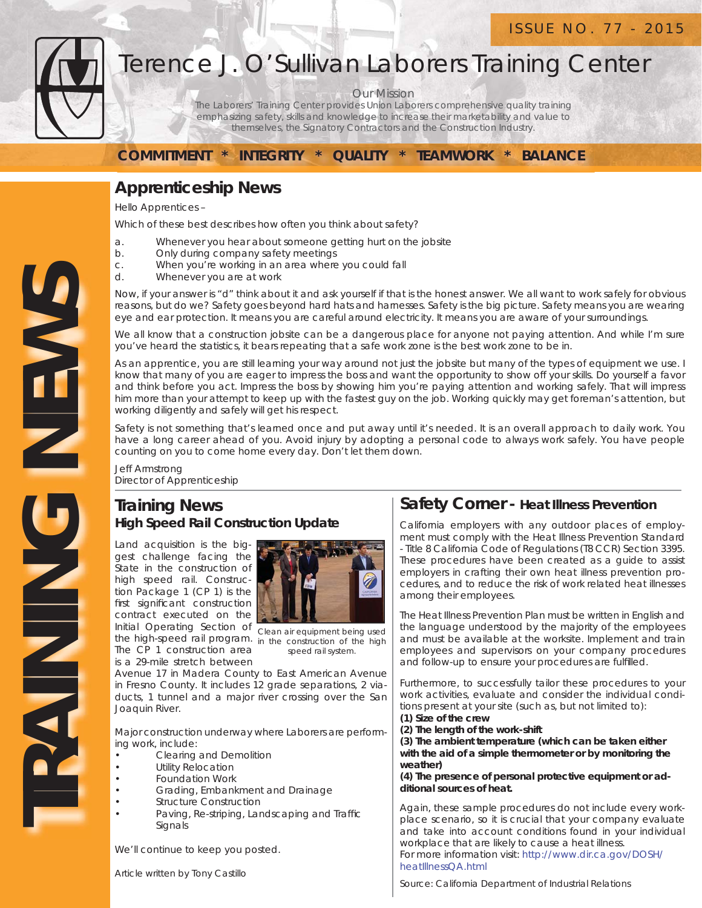

# Terence J. O'Sullivan Laborers Training Center

Our Mission

The Laborers' Training Center provides Union Laborers comprehensive quality training emphasizing safety, skills and knowledge to increase their marketability and value to themselves, the Signatory Contractors and the Construction Industry.

**COMMITMENT \* INTEGRITY \* QUALITY \* TEAMWORK \* BALANCE**

# **Apprenticeship News**

Hello Apprentices –

Which of these best describes how often you think about safety?

- a. Whenever you hear about someone getting hurt on the jobsite
- b. Only during company safety meetings
- c. When you're working in an area where you could fall
- d. Whenever you are at work

Now, if your answer is "d" think about it and ask yourself if that is the honest answer. We all want to work safely for obvious reasons, but do we? Safety goes beyond hard hats and harnesses. Safety is the big picture. Safety means you are wearing eye and ear protection. It means you are careful around electricity. It means you are aware of your surroundings.

We all know that a construction jobsite can be a dangerous place for anyone not paying attention. And while I'm sure you've heard the statistics, it bears repeating that a safe work zone is the best work zone to be in.

As an apprentice, you are still learning your way around not just the jobsite but many of the types of equipment we use. I know that many of you are eager to impress the boss and want the opportunity to show off your skills. Do yourself a favor and think before you act. Impress the boss by showing him you're paying attention and working safely. That will impress him more than your attempt to keep up with the fastest guy on the job. Working quickly may get foreman's attention, but working diligently and safely will get his respect.

Safety is not something that's learned once and put away until it's needed. It is an overall approach to daily work. You have a long career ahead of you. Avoid injury by adopting a personal code to always work safely. You have people counting on you to come home every day. Don't let them down.

Jeff Armstrong Director of Apprenticeship

## **Training News High Speed Rail Construction Update**

Land acquisition is the biggest challenge facing the State in the construction of high speed rail. Construction Package 1 (CP 1) is the first significant construction contract executed on the Initial Operating Section of the high-speed rail program. *in the construction of the high*  The CP 1 construction area is a 29-mile stretch between



*Clean air equipment being used speed rail system.*

Avenue 17 in Madera County to East American Avenue in Fresno County. It includes 12 grade separations, 2 viaducts, 1 tunnel and a major river crossing over the San Joaquin River.

Major construction underway where Laborers are performing work, include:

- Clearing and Demolition
- **Utility Relocation**
- Foundation Work
- Grading, Embankment and Drainage
- **Structure Construction**
- Paving, Re-striping, Landscaping and Traffic Signals

We'll continue to keep you posted.

Article written by Tony Castillo

### **Safety Corner - Heat Illness Prevention**

California employers with any outdoor places of employment must comply with the Heat Illness Prevention Standard - Title 8 California Code of Regulations (T8 CCR) Section 3395. These procedures have been created as a guide to assist employers in crafting their own heat illness prevention procedures, and to reduce the risk of work related heat illnesses among their employees.

The Heat Illness Prevention Plan must be written in English and the language understood by the majority of the employees and must be available at the worksite. Implement and train employees and supervisors on your company procedures and follow-up to ensure your procedures are fulfilled.

Furthermore, to successfully tailor these procedures to your work activities, evaluate and consider the individual conditions present at your site (such as, but not limited to):

**(1) Size of the crew**

**(2) The length of the work-shift**

**(3) The ambient temperature (which can be taken either with the aid of a simple thermometer or by monitoring the weather)**

**(4) The presence of personal protective equipment or additional sources of heat.**

Again, these sample procedures do not include every workplace scenario, so it is crucial that your company evaluate and take into account conditions found in your individual workplace that are likely to cause a heat illness. For more information visit: http://www.dir.ca.gov/DOSH/ heatIllnessQA.html

Source: California Department of Industrial Relations